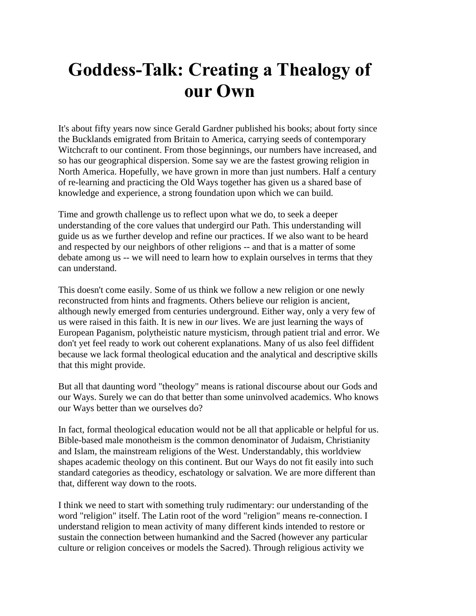# **Goddess-Talk: Creating a Thealogy of our Own**

It's about fifty years now since Gerald Gardner published his books; about forty since the Bucklands emigrated from Britain to America, carrying seeds of contemporary Witchcraft to our continent. From those beginnings, our numbers have increased, and so has our geographical dispersion. Some say we are the fastest growing religion in North America. Hopefully, we have grown in more than just numbers. Half a century of re-learning and practicing the Old Ways together has given us a shared base of knowledge and experience, a strong foundation upon which we can build.

Time and growth challenge us to reflect upon what we do, to seek a deeper understanding of the core values that undergird our Path. This understanding will guide us as we further develop and refine our practices. If we also want to be heard and respected by our neighbors of other religions -- and that is a matter of some debate among us -- we will need to learn how to explain ourselves in terms that they can understand.

This doesn't come easily. Some of us think we follow a new religion or one newly reconstructed from hints and fragments. Others believe our religion is ancient, although newly emerged from centuries underground. Either way, only a very few of us were raised in this faith. It is new in *our* lives. We are just learning the ways of European Paganism, polytheistic nature mysticism, through patient trial and error. We don't yet feel ready to work out coherent explanations. Many of us also feel diffident because we lack formal theological education and the analytical and descriptive skills that this might provide.

But all that daunting word "theology" means is rational discourse about our Gods and our Ways. Surely we can do that better than some uninvolved academics. Who knows our Ways better than we ourselves do?

In fact, formal theological education would not be all that applicable or helpful for us. Bible-based male monotheism is the common denominator of Judaism, Christianity and Islam, the mainstream religions of the West. Understandably, this worldview shapes academic theology on this continent. But our Ways do not fit easily into such standard categories as theodicy, eschatology or salvation. We are more different than that, different way down to the roots.

I think we need to start with something truly rudimentary: our understanding of the word "religion" itself. The Latin root of the word "religion" means re-connection. I understand religion to mean activity of many different kinds intended to restore or sustain the connection between humankind and the Sacred (however any particular culture or religion conceives or models the Sacred). Through religious activity we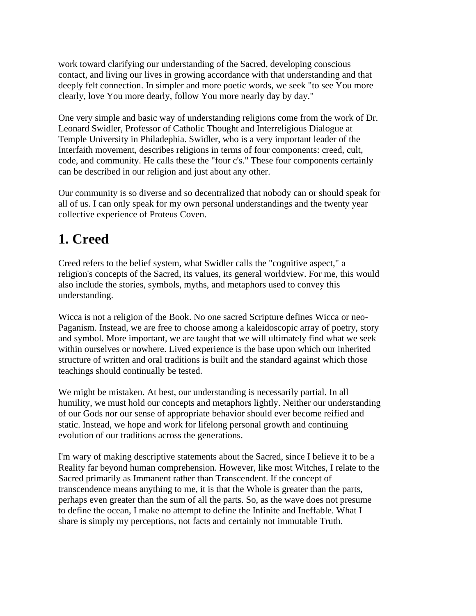work toward clarifying our understanding of the Sacred, developing conscious contact, and living our lives in growing accordance with that understanding and that deeply felt connection. In simpler and more poetic words, we seek "to see You more clearly, love You more dearly, follow You more nearly day by day."

One very simple and basic way of understanding religions come from the work of Dr. Leonard Swidler, Professor of Catholic Thought and Interreligious Dialogue at Temple University in Philadephia. Swidler, who is a very important leader of the Interfaith movement, describes religions in terms of four components: creed, cult, code, and community. He calls these the "four c's." These four components certainly can be described in our religion and just about any other.

Our community is so diverse and so decentralized that nobody can or should speak for all of us. I can only speak for my own personal understandings and the twenty year collective experience of Proteus Coven.

## **1. Creed**

Creed refers to the belief system, what Swidler calls the "cognitive aspect," a religion's concepts of the Sacred, its values, its general worldview. For me, this would also include the stories, symbols, myths, and metaphors used to convey this understanding.

Wicca is not a religion of the Book. No one sacred Scripture defines Wicca or neo-Paganism. Instead, we are free to choose among a kaleidoscopic array of poetry, story and symbol. More important, we are taught that we will ultimately find what we seek within ourselves or nowhere. Lived experience is the base upon which our inherited structure of written and oral traditions is built and the standard against which those teachings should continually be tested.

We might be mistaken. At best, our understanding is necessarily partial. In all humility, we must hold our concepts and metaphors lightly. Neither our understanding of our Gods nor our sense of appropriate behavior should ever become reified and static. Instead, we hope and work for lifelong personal growth and continuing evolution of our traditions across the generations.

I'm wary of making descriptive statements about the Sacred, since I believe it to be a Reality far beyond human comprehension. However, like most Witches, I relate to the Sacred primarily as Immanent rather than Transcendent. If the concept of transcendence means anything to me, it is that the Whole is greater than the parts, perhaps even greater than the sum of all the parts. So, as the wave does not presume to define the ocean, I make no attempt to define the Infinite and Ineffable. What I share is simply my perceptions, not facts and certainly not immutable Truth.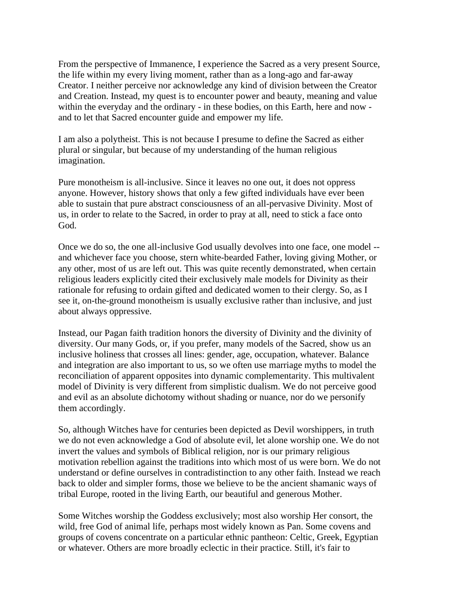From the perspective of Immanence, I experience the Sacred as a very present Source, the life within my every living moment, rather than as a long-ago and far-away Creator. I neither perceive nor acknowledge any kind of division between the Creator and Creation. Instead, my quest is to encounter power and beauty, meaning and value within the everyday and the ordinary - in these bodies, on this Earth, here and now and to let that Sacred encounter guide and empower my life.

I am also a polytheist. This is not because I presume to define the Sacred as either plural or singular, but because of my understanding of the human religious imagination.

Pure monotheism is all-inclusive. Since it leaves no one out, it does not oppress anyone. However, history shows that only a few gifted individuals have ever been able to sustain that pure abstract consciousness of an all-pervasive Divinity. Most of us, in order to relate to the Sacred, in order to pray at all, need to stick a face onto God.

Once we do so, the one all-inclusive God usually devolves into one face, one model - and whichever face you choose, stern white-bearded Father, loving giving Mother, or any other, most of us are left out. This was quite recently demonstrated, when certain religious leaders explicitly cited their exclusively male models for Divinity as their rationale for refusing to ordain gifted and dedicated women to their clergy. So, as I see it, on-the-ground monotheism is usually exclusive rather than inclusive, and just about always oppressive.

Instead, our Pagan faith tradition honors the diversity of Divinity and the divinity of diversity. Our many Gods, or, if you prefer, many models of the Sacred, show us an inclusive holiness that crosses all lines: gender, age, occupation, whatever. Balance and integration are also important to us, so we often use marriage myths to model the reconciliation of apparent opposites into dynamic complementarity. This multivalent model of Divinity is very different from simplistic dualism. We do not perceive good and evil as an absolute dichotomy without shading or nuance, nor do we personify them accordingly.

So, although Witches have for centuries been depicted as Devil worshippers, in truth we do not even acknowledge a God of absolute evil, let alone worship one. We do not invert the values and symbols of Biblical religion, nor is our primary religious motivation rebellion against the traditions into which most of us were born. We do not understand or define ourselves in contradistinction to any other faith. Instead we reach back to older and simpler forms, those we believe to be the ancient shamanic ways of tribal Europe, rooted in the living Earth, our beautiful and generous Mother.

Some Witches worship the Goddess exclusively; most also worship Her consort, the wild, free God of animal life, perhaps most widely known as Pan. Some covens and groups of covens concentrate on a particular ethnic pantheon: Celtic, Greek, Egyptian or whatever. Others are more broadly eclectic in their practice. Still, it's fair to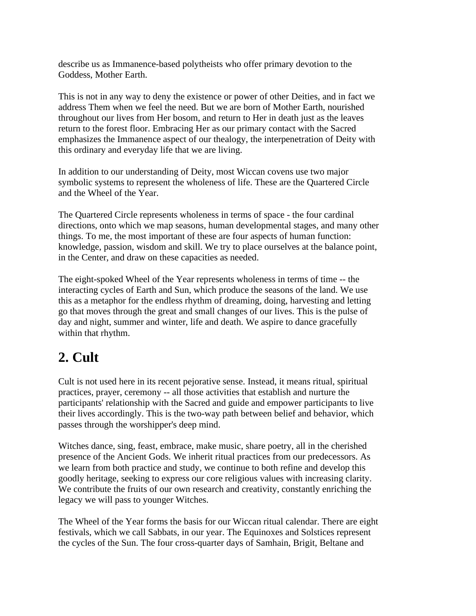describe us as Immanence-based polytheists who offer primary devotion to the Goddess, Mother Earth.

This is not in any way to deny the existence or power of other Deities, and in fact we address Them when we feel the need. But we are born of Mother Earth, nourished throughout our lives from Her bosom, and return to Her in death just as the leaves return to the forest floor. Embracing Her as our primary contact with the Sacred emphasizes the Immanence aspect of our thealogy, the interpenetration of Deity with this ordinary and everyday life that we are living.

In addition to our understanding of Deity, most Wiccan covens use two major symbolic systems to represent the wholeness of life. These are the Quartered Circle and the Wheel of the Year.

The Quartered Circle represents wholeness in terms of space - the four cardinal directions, onto which we map seasons, human developmental stages, and many other things. To me, the most important of these are four aspects of human function: knowledge, passion, wisdom and skill. We try to place ourselves at the balance point, in the Center, and draw on these capacities as needed.

The eight-spoked Wheel of the Year represents wholeness in terms of time -- the interacting cycles of Earth and Sun, which produce the seasons of the land. We use this as a metaphor for the endless rhythm of dreaming, doing, harvesting and letting go that moves through the great and small changes of our lives. This is the pulse of day and night, summer and winter, life and death. We aspire to dance gracefully within that rhythm.

## **2. Cult**

Cult is not used here in its recent pejorative sense. Instead, it means ritual, spiritual practices, prayer, ceremony -- all those activities that establish and nurture the participants' relationship with the Sacred and guide and empower participants to live their lives accordingly. This is the two-way path between belief and behavior, which passes through the worshipper's deep mind.

Witches dance, sing, feast, embrace, make music, share poetry, all in the cherished presence of the Ancient Gods. We inherit ritual practices from our predecessors. As we learn from both practice and study, we continue to both refine and develop this goodly heritage, seeking to express our core religious values with increasing clarity. We contribute the fruits of our own research and creativity, constantly enriching the legacy we will pass to younger Witches.

The Wheel of the Year forms the basis for our Wiccan ritual calendar. There are eight festivals, which we call Sabbats, in our year. The Equinoxes and Solstices represent the cycles of the Sun. The four cross-quarter days of Samhain, Brigit, Beltane and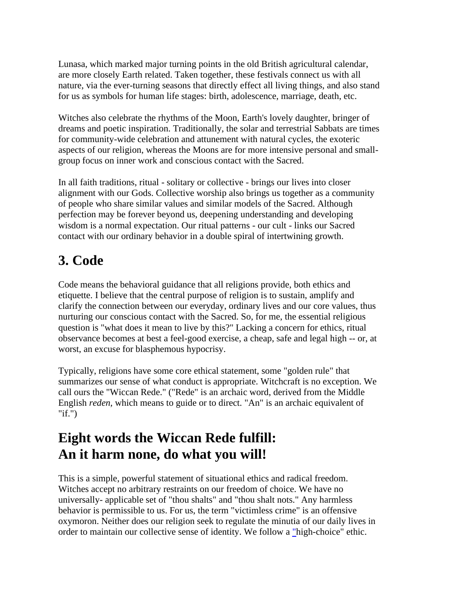Lunasa, which marked major turning points in the old British agricultural calendar, are more closely Earth related. Taken together, these festivals connect us with all nature, via the ever-turning seasons that directly effect all living things, and also stand for us as symbols for human life stages: birth, adolescence, marriage, death, etc.

Witches also celebrate the rhythms of the Moon, Earth's lovely daughter, bringer of dreams and poetic inspiration. Traditionally, the solar and terrestrial Sabbats are times for community-wide celebration and attunement with natural cycles, the exoteric aspects of our religion, whereas the Moons are for more intensive personal and smallgroup focus on inner work and conscious contact with the Sacred.

In all faith traditions, ritual - solitary or collective - brings our lives into closer alignment with our Gods. Collective worship also brings us together as a community of people who share similar values and similar models of the Sacred. Although perfection may be forever beyond us, deepening understanding and developing wisdom is a normal expectation. Our ritual patterns - our cult - links our Sacred contact with our ordinary behavior in a double spiral of intertwining growth.

## **3. Code**

Code means the behavioral guidance that all religions provide, both ethics and etiquette. I believe that the central purpose of religion is to sustain, amplify and clarify the connection between our everyday, ordinary lives and our core values, thus nurturing our conscious contact with the Sacred. So, for me, the essential religious question is "what does it mean to live by this?" Lacking a concern for ethics, ritual observance becomes at best a feel-good exercise, a cheap, safe and legal high -- or, at worst, an excuse for blasphemous hypocrisy.

Typically, religions have some core ethical statement, some "golden rule" that summarizes our sense of what conduct is appropriate. Witchcraft is no exception. We call ours the "Wiccan Rede." ("Rede" is an archaic word, derived from the Middle English *reden,* which means to guide or to direct. "An" is an archaic equivalent of "if.")

## **Eight words the Wiccan Rede fulfill: An it harm none, do what you will!**

This is a simple, powerful statement of situational ethics and radical freedom. Witches accept no arbitrary restraints on our freedom of choice. We have no universally- applicable set of "thou shalts" and "thou shalt nots." Any harmless behavior is permissible to us. For us, the term "victimless crime" is an offensive oxymoron. Neither does our religion seek to regulate the minutia of our daily lives in order to maintain our collective sense of identity. We follow a "high-choice" ethic.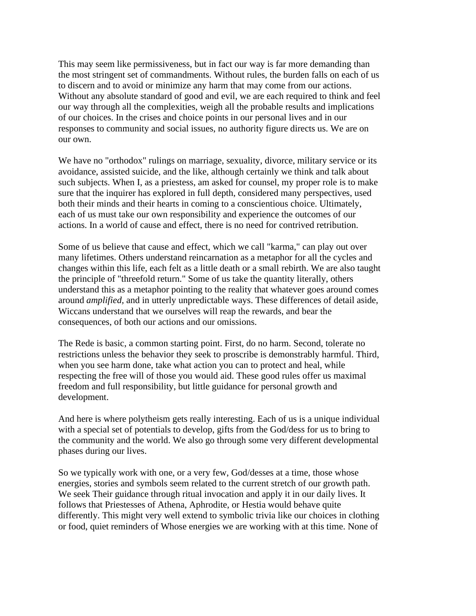This may seem like permissiveness, but in fact our way is far more demanding than the most stringent set of commandments. Without rules, the burden falls on each of us to discern and to avoid or minimize any harm that may come from our actions. Without any absolute standard of good and evil, we are each required to think and feel our way through all the complexities, weigh all the probable results and implications of our choices. In the crises and choice points in our personal lives and in our responses to community and social issues, no authority figure directs us. We are on our own.

We have no "orthodox" rulings on marriage, sexuality, divorce, military service or its avoidance, assisted suicide, and the like, although certainly we think and talk about such subjects. When I, as a priestess, am asked for counsel, my proper role is to make sure that the inquirer has explored in full depth, considered many perspectives, used both their minds and their hearts in coming to a conscientious choice. Ultimately, each of us must take our own responsibility and experience the outcomes of our actions. In a world of cause and effect, there is no need for contrived retribution.

Some of us believe that cause and effect, which we call "karma," can play out over many lifetimes. Others understand reincarnation as a metaphor for all the cycles and changes within this life, each felt as a little death or a small rebirth. We are also taught the principle of "threefold return." Some of us take the quantity literally, others understand this as a metaphor pointing to the reality that whatever goes around comes around *amplified,* and in utterly unpredictable ways. These differences of detail aside, Wiccans understand that we ourselves will reap the rewards, and bear the consequences, of both our actions and our omissions.

The Rede is basic, a common starting point. First, do no harm. Second, tolerate no restrictions unless the behavior they seek to proscribe is demonstrably harmful. Third, when you see harm done, take what action you can to protect and heal, while respecting the free will of those you would aid. These good rules offer us maximal freedom and full responsibility, but little guidance for personal growth and development.

And here is where polytheism gets really interesting. Each of us is a unique individual with a special set of potentials to develop, gifts from the God/dess for us to bring to the community and the world. We also go through some very different developmental phases during our lives.

So we typically work with one, or a very few, God/desses at a time, those whose energies, stories and symbols seem related to the current stretch of our growth path. We seek Their guidance through ritual invocation and apply it in our daily lives. It follows that Priestesses of Athena, Aphrodite, or Hestia would behave quite differently. This might very well extend to symbolic trivia like our choices in clothing or food, quiet reminders of Whose energies we are working with at this time. None of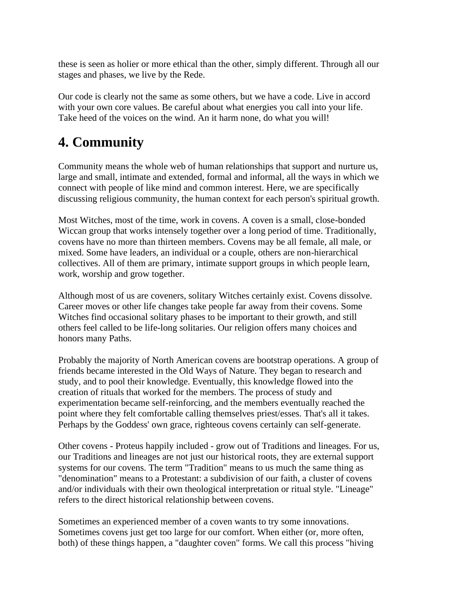these is seen as holier or more ethical than the other, simply different. Through all our stages and phases, we live by the Rede.

Our code is clearly not the same as some others, but we have a code. Live in accord with your own core values. Be careful about what energies you call into your life. Take heed of the voices on the wind. An it harm none, do what you will!

## **4. Community**

Community means the whole web of human relationships that support and nurture us, large and small, intimate and extended, formal and informal, all the ways in which we connect with people of like mind and common interest. Here, we are specifically discussing religious community, the human context for each person's spiritual growth.

Most Witches, most of the time, work in covens. A coven is a small, close-bonded Wiccan group that works intensely together over a long period of time. Traditionally, covens have no more than thirteen members. Covens may be all female, all male, or mixed. Some have leaders, an individual or a couple, others are non-hierarchical collectives. All of them are primary, intimate support groups in which people learn, work, worship and grow together.

Although most of us are coveners, solitary Witches certainly exist. Covens dissolve. Career moves or other life changes take people far away from their covens. Some Witches find occasional solitary phases to be important to their growth, and still others feel called to be life-long solitaries. Our religion offers many choices and honors many Paths.

Probably the majority of North American covens are bootstrap operations. A group of friends became interested in the Old Ways of Nature. They began to research and study, and to pool their knowledge. Eventually, this knowledge flowed into the creation of rituals that worked for the members. The process of study and experimentation became self-reinforcing, and the members eventually reached the point where they felt comfortable calling themselves priest/esses. That's all it takes. Perhaps by the Goddess' own grace, righteous covens certainly can self-generate.

Other covens - Proteus happily included - grow out of Traditions and lineages. For us, our Traditions and lineages are not just our historical roots, they are external support systems for our covens. The term "Tradition" means to us much the same thing as "denomination" means to a Protestant: a subdivision of our faith, a cluster of covens and/or individuals with their own theological interpretation or ritual style. "Lineage" refers to the direct historical relationship between covens.

Sometimes an experienced member of a coven wants to try some innovations. Sometimes covens just get too large for our comfort. When either (or, more often, both) of these things happen, a "daughter coven" forms. We call this process "hiving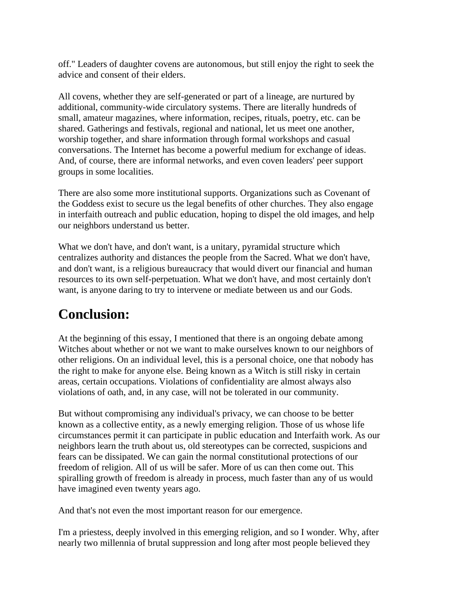off." Leaders of daughter covens are autonomous, but still enjoy the right to seek the advice and consent of their elders.

All covens, whether they are self-generated or part of a lineage, are nurtured by additional, community-wide circulatory systems. There are literally hundreds of small, amateur magazines, where information, recipes, rituals, poetry, etc. can be shared. Gatherings and festivals, regional and national, let us meet one another, worship together, and share information through formal workshops and casual conversations. The Internet has become a powerful medium for exchange of ideas. And, of course, there are informal networks, and even coven leaders' peer support groups in some localities.

There are also some more institutional supports. Organizations such as Covenant of the Goddess exist to secure us the legal benefits of other churches. They also engage in interfaith outreach and public education, hoping to dispel the old images, and help our neighbors understand us better.

What we don't have, and don't want, is a unitary, pyramidal structure which centralizes authority and distances the people from the Sacred. What we don't have, and don't want, is a religious bureaucracy that would divert our financial and human resources to its own self-perpetuation. What we don't have, and most certainly don't want, is anyone daring to try to intervene or mediate between us and our Gods.

#### **Conclusion:**

At the beginning of this essay, I mentioned that there is an ongoing debate among Witches about whether or not we want to make ourselves known to our neighbors of other religions. On an individual level, this is a personal choice, one that nobody has the right to make for anyone else. Being known as a Witch is still risky in certain areas, certain occupations. Violations of confidentiality are almost always also violations of oath, and, in any case, will not be tolerated in our community.

But without compromising any individual's privacy, we can choose to be better known as a collective entity, as a newly emerging religion. Those of us whose life circumstances permit it can participate in public education and Interfaith work. As our neighbors learn the truth about us, old stereotypes can be corrected, suspicions and fears can be dissipated. We can gain the normal constitutional protections of our freedom of religion. All of us will be safer. More of us can then come out. This spiralling growth of freedom is already in process, much faster than any of us would have imagined even twenty years ago.

And that's not even the most important reason for our emergence.

I'm a priestess, deeply involved in this emerging religion, and so I wonder. Why, after nearly two millennia of brutal suppression and long after most people believed they